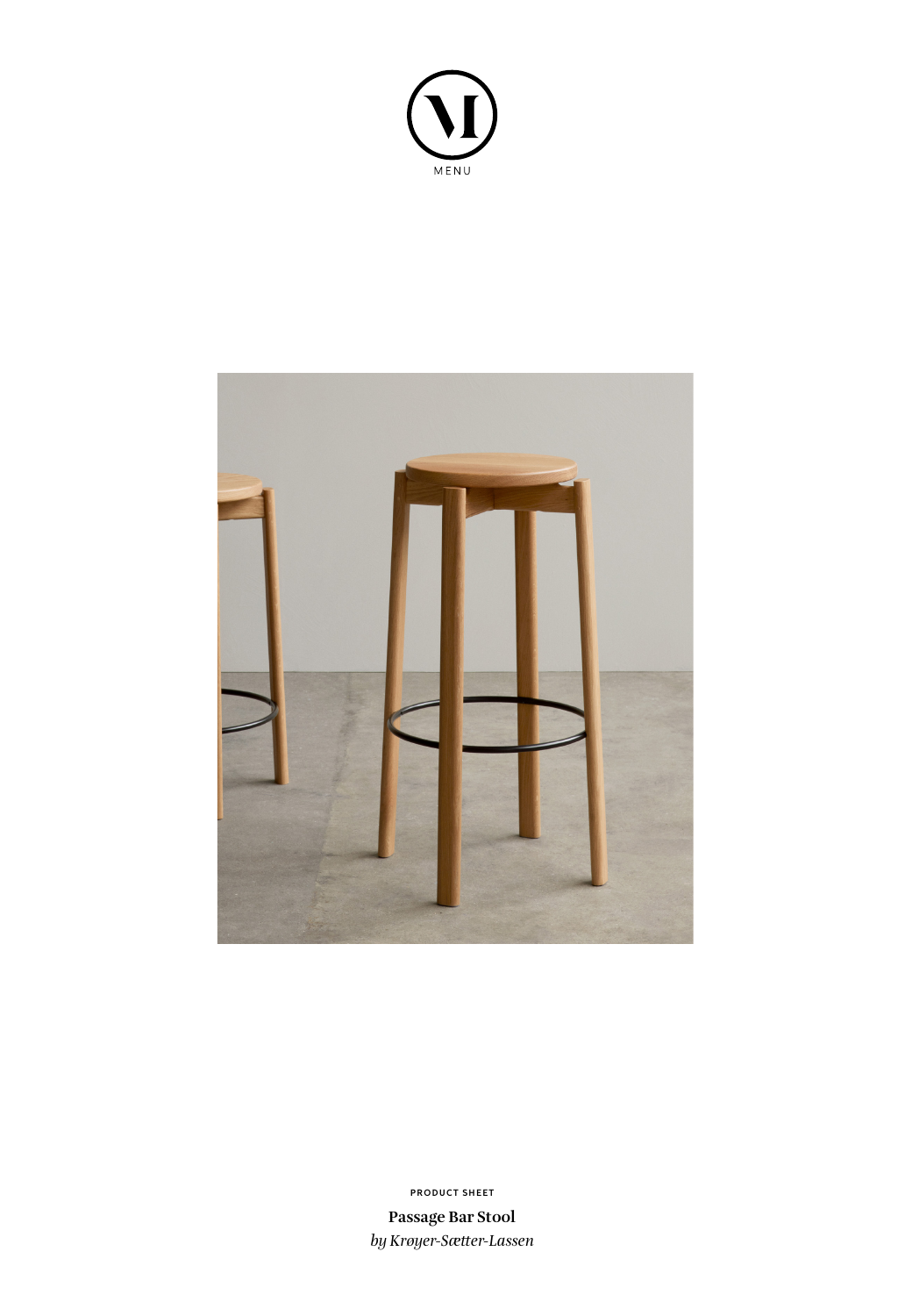



**PRODUCT SHEET**

**Passage Bar Stool** *by Krøyer-Sætter-Lassen*